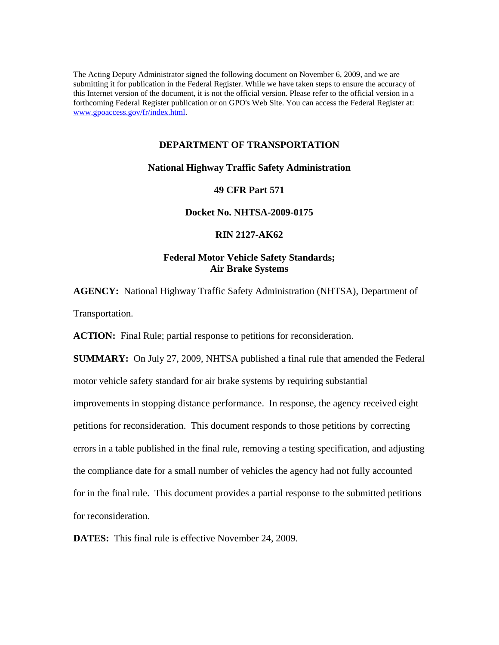The Acting Deputy Administrator signed the following document on November 6, 2009, and we are submitting it for publication in the Federal Register. While we have taken steps to ensure the accuracy of this Internet version of the document, it is not the official version. Please refer to the official version in a forthcoming Federal Register publication or on GPO's Web Site. You can access the Federal Register at: www.gpoaccess.gov/fr/index.html.

## **DEPARTMENT OF TRANSPORTATION**

## **National Highway Traffic Safety Administration**

## **49 CFR Part 571**

# **Docket No. NHTSA-2009-0175**

## **RIN 2127-AK62**

# **Federal Motor Vehicle Safety Standards; Air Brake Systems**

**AGENCY:** National Highway Traffic Safety Administration (NHTSA), Department of Transportation.

ACTION: Final Rule; partial response to petitions for reconsideration.

**SUMMARY:** On July 27, 2009, NHTSA published a final rule that amended the Federal motor vehicle safety standard for air brake systems by requiring substantial improvements in stopping distance performance. In response, the agency received eight petitions for reconsideration. This document responds to those petitions by correcting errors in a table published in the final rule, removing a testing specification, and adjusting the compliance date for a small number of vehicles the agency had not fully accounted for in the final rule. This document provides a partial response to the submitted petitions for reconsideration.

**DATES:** This final rule is effective November 24, 2009.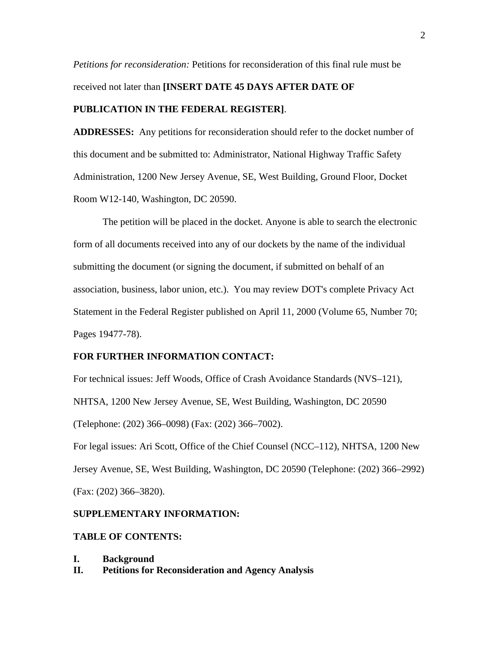*Petitions for reconsideration:* Petitions for reconsideration of this final rule must be received not later than **[INSERT DATE 45 DAYS AFTER DATE OF PUBLICATION IN THE FEDERAL REGISTER]**.

**ADDRESSES:** Any petitions for reconsideration should refer to the docket number of this document and be submitted to: Administrator, National Highway Traffic Safety Administration, 1200 New Jersey Avenue, SE, West Building, Ground Floor, Docket Room W12-140, Washington, DC 20590.

 The petition will be placed in the docket. Anyone is able to search the electronic form of all documents received into any of our dockets by the name of the individual submitting the document (or signing the document, if submitted on behalf of an association, business, labor union, etc.). You may review DOT's complete Privacy Act Statement in the Federal Register published on April 11, 2000 (Volume 65, Number 70; Pages 19477-78).

## **FOR FURTHER INFORMATION CONTACT:**

For technical issues: Jeff Woods, Office of Crash Avoidance Standards (NVS–121), NHTSA, 1200 New Jersey Avenue, SE, West Building, Washington, DC 20590 (Telephone: (202) 366–0098) (Fax: (202) 366–7002).

For legal issues: Ari Scott, Office of the Chief Counsel (NCC–112), NHTSA, 1200 New Jersey Avenue, SE, West Building, Washington, DC 20590 (Telephone: (202) 366–2992) (Fax: (202) 366–3820).

#### **SUPPLEMENTARY INFORMATION:**

#### **TABLE OF CONTENTS:**

- **I. Background**
- **II. Petitions for Reconsideration and Agency Analysis**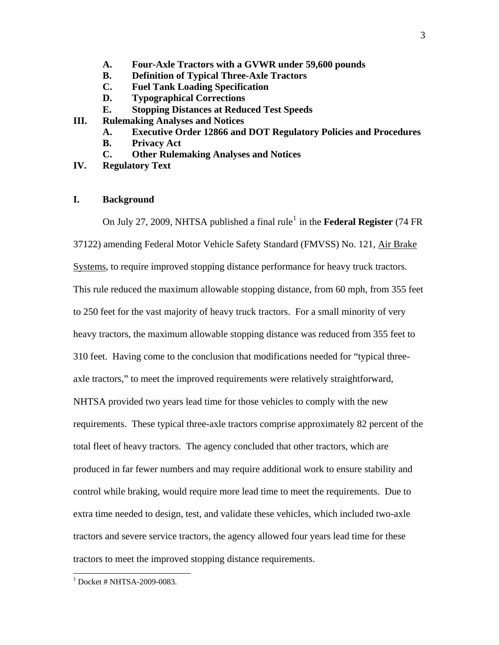- **A. Four-Axle Tractors with a GVWR under 59,600 pounds**
- **B. Definition of Typical Three-Axle Tractors**
- **C. Fuel Tank Loading Specification**
- **D. Typographical Corrections**
- **E. Stopping Distances at Reduced Test Speeds**
- **III. Rulemaking Analyses and Notices** 
	- **A. Executive Order 12866 and DOT Regulatory Policies and Procedures**
	- **B. Privacy Act**
	- **C. Other Rulemaking Analyses and Notices**
- **IV. Regulatory Text**

## **I. Background**

On July 27, 2009, NHTSA published a final rule<sup>[1](#page-2-0)</sup> in the **Federal Register** (74 FR 37122) amending Federal Motor Vehicle Safety Standard (FMVSS) No. 121, Air Brake Systems, to require improved stopping distance performance for heavy truck tractors. This rule reduced the maximum allowable stopping distance, from 60 mph, from 355 feet to 250 feet for the vast majority of heavy truck tractors. For a small minority of very heavy tractors, the maximum allowable stopping distance was reduced from 355 feet to 310 feet. Having come to the conclusion that modifications needed for "typical threeaxle tractors," to meet the improved requirements were relatively straightforward, NHTSA provided two years lead time for those vehicles to comply with the new requirements. These typical three-axle tractors comprise approximately 82 percent of the total fleet of heavy tractors. The agency concluded that other tractors, which are produced in far fewer numbers and may require additional work to ensure stability and control while braking, would require more lead time to meet the requirements. Due to extra time needed to design, test, and validate these vehicles, which included two-axle tractors and severe service tractors, the agency allowed four years lead time for these tractors to meet the improved stopping distance requirements.

 $\overline{\phantom{a}}$ 

<span id="page-2-0"></span><sup>1</sup> Docket # NHTSA-2009-0083.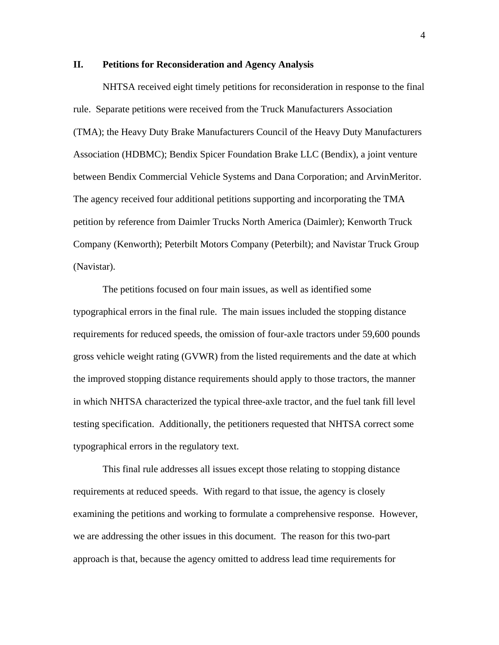## **II. Petitions for Reconsideration and Agency Analysis**

NHTSA received eight timely petitions for reconsideration in response to the final rule. Separate petitions were received from the Truck Manufacturers Association (TMA); the Heavy Duty Brake Manufacturers Council of the Heavy Duty Manufacturers Association (HDBMC); Bendix Spicer Foundation Brake LLC (Bendix), a joint venture between Bendix Commercial Vehicle Systems and Dana Corporation; and ArvinMeritor. The agency received four additional petitions supporting and incorporating the TMA petition by reference from Daimler Trucks North America (Daimler); Kenworth Truck Company (Kenworth); Peterbilt Motors Company (Peterbilt); and Navistar Truck Group (Navistar).

The petitions focused on four main issues, as well as identified some typographical errors in the final rule. The main issues included the stopping distance requirements for reduced speeds, the omission of four-axle tractors under 59,600 pounds gross vehicle weight rating (GVWR) from the listed requirements and the date at which the improved stopping distance requirements should apply to those tractors, the manner in which NHTSA characterized the typical three-axle tractor, and the fuel tank fill level testing specification. Additionally, the petitioners requested that NHTSA correct some typographical errors in the regulatory text.

 This final rule addresses all issues except those relating to stopping distance requirements at reduced speeds. With regard to that issue, the agency is closely examining the petitions and working to formulate a comprehensive response. However, we are addressing the other issues in this document. The reason for this two-part approach is that, because the agency omitted to address lead time requirements for

4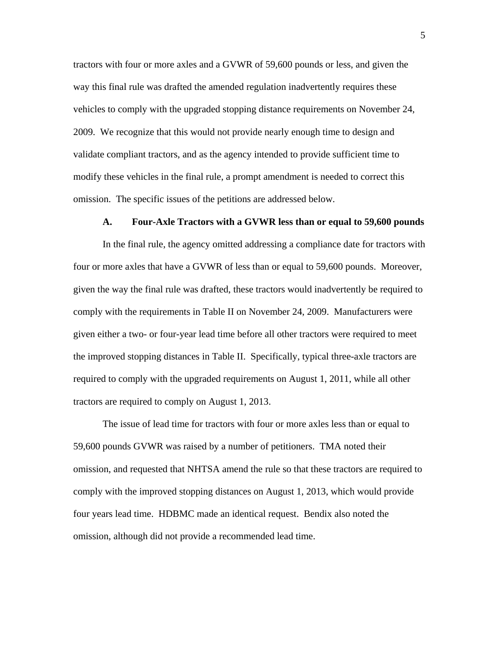tractors with four or more axles and a GVWR of 59,600 pounds or less, and given the way this final rule was drafted the amended regulation inadvertently requires these vehicles to comply with the upgraded stopping distance requirements on November 24, 2009. We recognize that this would not provide nearly enough time to design and validate compliant tractors, and as the agency intended to provide sufficient time to modify these vehicles in the final rule, a prompt amendment is needed to correct this omission. The specific issues of the petitions are addressed below.

#### **A. Four-Axle Tractors with a GVWR less than or equal to 59,600 pounds**

 In the final rule, the agency omitted addressing a compliance date for tractors with four or more axles that have a GVWR of less than or equal to 59,600 pounds. Moreover, given the way the final rule was drafted, these tractors would inadvertently be required to comply with the requirements in Table II on November 24, 2009. Manufacturers were given either a two- or four-year lead time before all other tractors were required to meet the improved stopping distances in Table II. Specifically, typical three-axle tractors are required to comply with the upgraded requirements on August 1, 2011, while all other tractors are required to comply on August 1, 2013.

 The issue of lead time for tractors with four or more axles less than or equal to 59,600 pounds GVWR was raised by a number of petitioners. TMA noted their omission, and requested that NHTSA amend the rule so that these tractors are required to comply with the improved stopping distances on August 1, 2013, which would provide four years lead time. HDBMC made an identical request. Bendix also noted the omission, although did not provide a recommended lead time.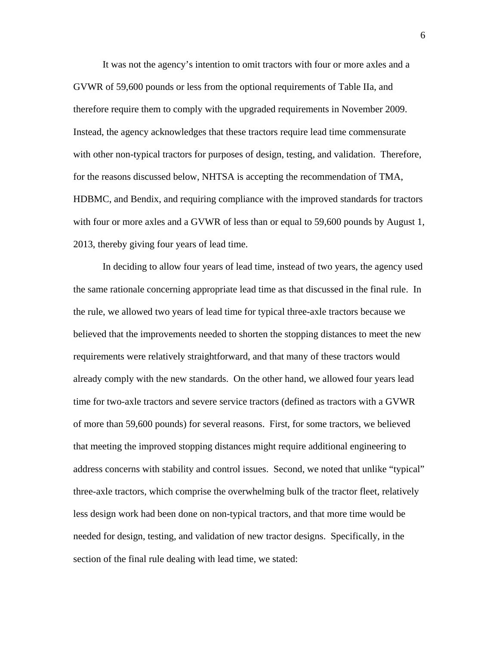It was not the agency's intention to omit tractors with four or more axles and a GVWR of 59,600 pounds or less from the optional requirements of Table IIa, and therefore require them to comply with the upgraded requirements in November 2009. Instead, the agency acknowledges that these tractors require lead time commensurate with other non-typical tractors for purposes of design, testing, and validation. Therefore, for the reasons discussed below, NHTSA is accepting the recommendation of TMA, HDBMC, and Bendix, and requiring compliance with the improved standards for tractors with four or more axles and a GVWR of less than or equal to 59,600 pounds by August 1, 2013, thereby giving four years of lead time.

In deciding to allow four years of lead time, instead of two years, the agency used the same rationale concerning appropriate lead time as that discussed in the final rule. In the rule, we allowed two years of lead time for typical three-axle tractors because we believed that the improvements needed to shorten the stopping distances to meet the new requirements were relatively straightforward, and that many of these tractors would already comply with the new standards. On the other hand, we allowed four years lead time for two-axle tractors and severe service tractors (defined as tractors with a GVWR of more than 59,600 pounds) for several reasons. First, for some tractors, we believed that meeting the improved stopping distances might require additional engineering to address concerns with stability and control issues. Second, we noted that unlike "typical" three-axle tractors, which comprise the overwhelming bulk of the tractor fleet, relatively less design work had been done on non-typical tractors, and that more time would be needed for design, testing, and validation of new tractor designs. Specifically, in the section of the final rule dealing with lead time, we stated: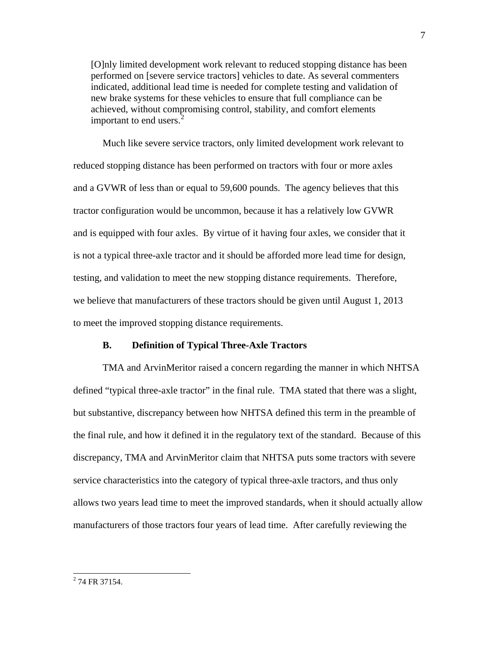[O]nly limited development work relevant to reduced stopping distance has been performed on [severe service tractors] vehicles to date. As several commenters indicated, additional lead time is needed for complete testing and validation of new brake systems for these vehicles to ensure that full compliance can be achieved, without compromising control, stability, and comfort elements important to end users. $<sup>2</sup>$  $<sup>2</sup>$  $<sup>2</sup>$ </sup>

 Much like severe service tractors, only limited development work relevant to reduced stopping distance has been performed on tractors with four or more axles and a GVWR of less than or equal to 59,600 pounds. The agency believes that this tractor configuration would be uncommon, because it has a relatively low GVWR and is equipped with four axles. By virtue of it having four axles, we consider that it is not a typical three-axle tractor and it should be afforded more lead time for design, testing, and validation to meet the new stopping distance requirements. Therefore, we believe that manufacturers of these tractors should be given until August 1, 2013 to meet the improved stopping distance requirements.

### **B. Definition of Typical Three-Axle Tractors**

 TMA and ArvinMeritor raised a concern regarding the manner in which NHTSA defined "typical three-axle tractor" in the final rule. TMA stated that there was a slight, but substantive, discrepancy between how NHTSA defined this term in the preamble of the final rule, and how it defined it in the regulatory text of the standard. Because of this discrepancy, TMA and ArvinMeritor claim that NHTSA puts some tractors with severe service characteristics into the category of typical three-axle tractors, and thus only allows two years lead time to meet the improved standards, when it should actually allow manufacturers of those tractors four years of lead time. After carefully reviewing the

 $\overline{\phantom{a}}$ 

<span id="page-6-0"></span><sup>&</sup>lt;sup>2</sup> 74 FR 37154.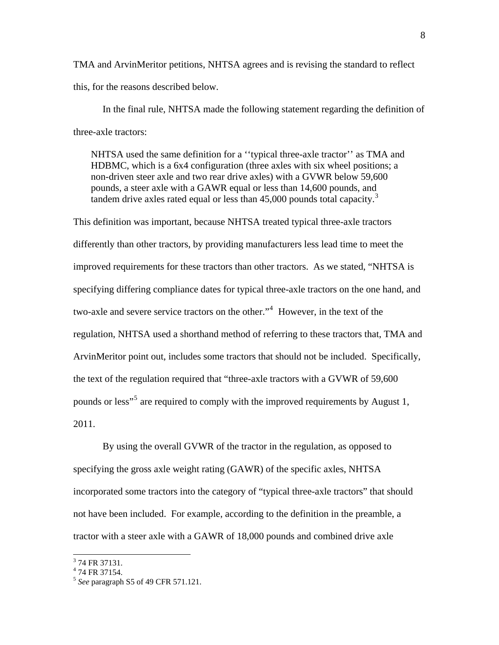TMA and ArvinMeritor petitions, NHTSA agrees and is revising the standard to reflect this, for the reasons described below.

In the final rule, NHTSA made the following statement regarding the definition of three-axle tractors:

NHTSA used the same definition for a ''typical three-axle tractor'' as TMA and HDBMC, which is a 6x4 configuration (three axles with six wheel positions; a non-driven steer axle and two rear drive axles) with a GVWR below 59,600 pounds, a steer axle with a GAWR equal or less than 14,600 pounds, and tandem drive axles rated equal or less than  $45,000$  pounds total capacity.<sup>[3](#page-7-0)</sup>

This definition was important, because NHTSA treated typical three-axle tractors differently than other tractors, by providing manufacturers less lead time to meet the improved requirements for these tractors than other tractors. As we stated, "NHTSA is specifying differing compliance dates for typical three-axle tractors on the one hand, and two-axle and severe service tractors on the other."[4](#page-7-1) However, in the text of the regulation, NHTSA used a shorthand method of referring to these tractors that, TMA and ArvinMeritor point out, includes some tractors that should not be included. Specifically, the text of the regulation required that "three-axle tractors with a GVWR of 59,600 pounds or less<sup>3[5](#page-7-2)</sup> are required to comply with the improved requirements by August 1, 2011.

 By using the overall GVWR of the tractor in the regulation, as opposed to specifying the gross axle weight rating (GAWR) of the specific axles, NHTSA incorporated some tractors into the category of "typical three-axle tractors" that should not have been included. For example, according to the definition in the preamble, a tractor with a steer axle with a GAWR of 18,000 pounds and combined drive axle

<span id="page-7-0"></span><sup>&</sup>lt;sup>3</sup> 74 FR 37131.

<span id="page-7-1"></span><sup>4</sup> 74 FR 37154.

<span id="page-7-2"></span><sup>5</sup> *See* paragraph S5 of 49 CFR 571.121.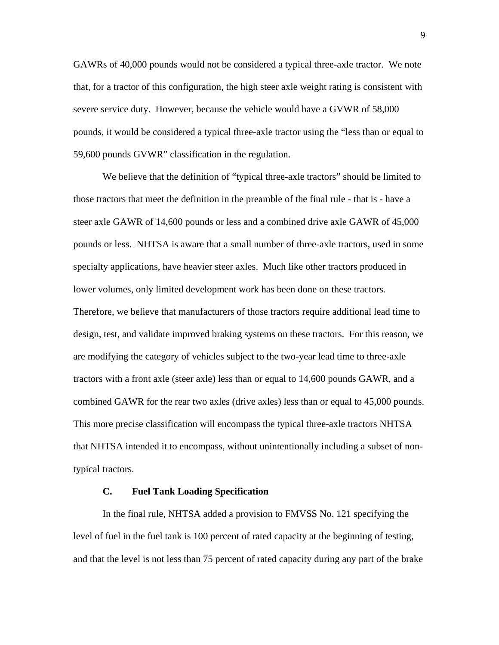GAWRs of 40,000 pounds would not be considered a typical three-axle tractor. We note that, for a tractor of this configuration, the high steer axle weight rating is consistent with severe service duty. However, because the vehicle would have a GVWR of 58,000 pounds, it would be considered a typical three-axle tractor using the "less than or equal to 59,600 pounds GVWR" classification in the regulation.

 We believe that the definition of "typical three-axle tractors" should be limited to those tractors that meet the definition in the preamble of the final rule - that is - have a steer axle GAWR of 14,600 pounds or less and a combined drive axle GAWR of 45,000 pounds or less. NHTSA is aware that a small number of three-axle tractors, used in some specialty applications, have heavier steer axles. Much like other tractors produced in lower volumes, only limited development work has been done on these tractors. Therefore, we believe that manufacturers of those tractors require additional lead time to design, test, and validate improved braking systems on these tractors. For this reason, we are modifying the category of vehicles subject to the two-year lead time to three-axle tractors with a front axle (steer axle) less than or equal to 14,600 pounds GAWR, and a combined GAWR for the rear two axles (drive axles) less than or equal to 45,000 pounds. This more precise classification will encompass the typical three-axle tractors NHTSA that NHTSA intended it to encompass, without unintentionally including a subset of nontypical tractors.

## **C. Fuel Tank Loading Specification**

In the final rule, NHTSA added a provision to FMVSS No. 121 specifying the level of fuel in the fuel tank is 100 percent of rated capacity at the beginning of testing, and that the level is not less than 75 percent of rated capacity during any part of the brake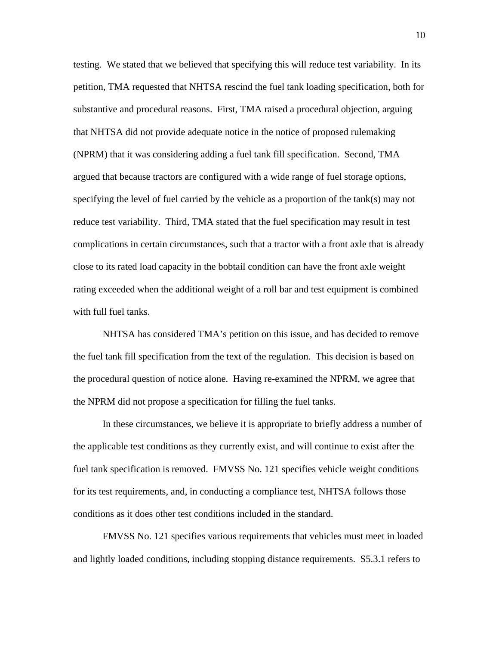testing. We stated that we believed that specifying this will reduce test variability. In its petition, TMA requested that NHTSA rescind the fuel tank loading specification, both for substantive and procedural reasons. First, TMA raised a procedural objection, arguing that NHTSA did not provide adequate notice in the notice of proposed rulemaking (NPRM) that it was considering adding a fuel tank fill specification. Second, TMA argued that because tractors are configured with a wide range of fuel storage options, specifying the level of fuel carried by the vehicle as a proportion of the tank(s) may not reduce test variability. Third, TMA stated that the fuel specification may result in test complications in certain circumstances, such that a tractor with a front axle that is already close to its rated load capacity in the bobtail condition can have the front axle weight rating exceeded when the additional weight of a roll bar and test equipment is combined with full fuel tanks.

NHTSA has considered TMA's petition on this issue, and has decided to remove the fuel tank fill specification from the text of the regulation. This decision is based on the procedural question of notice alone. Having re-examined the NPRM, we agree that the NPRM did not propose a specification for filling the fuel tanks.

In these circumstances, we believe it is appropriate to briefly address a number of the applicable test conditions as they currently exist, and will continue to exist after the fuel tank specification is removed. FMVSS No. 121 specifies vehicle weight conditions for its test requirements, and, in conducting a compliance test, NHTSA follows those conditions as it does other test conditions included in the standard.

FMVSS No. 121 specifies various requirements that vehicles must meet in loaded and lightly loaded conditions, including stopping distance requirements. S5.3.1 refers to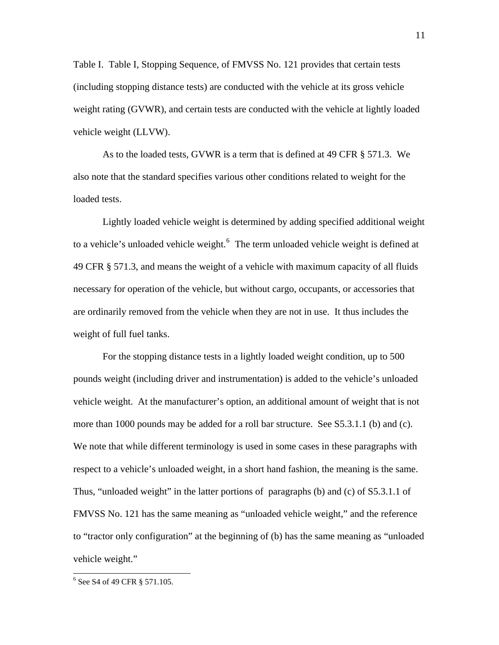Table I. Table I, Stopping Sequence, of FMVSS No. 121 provides that certain tests (including stopping distance tests) are conducted with the vehicle at its gross vehicle weight rating (GVWR), and certain tests are conducted with the vehicle at lightly loaded vehicle weight (LLVW).

As to the loaded tests, GVWR is a term that is defined at 49 CFR § 571.3. We also note that the standard specifies various other conditions related to weight for the loaded tests.

 Lightly loaded vehicle weight is determined by adding specified additional weight to a vehicle's unloaded vehicle weight. $6$  The term unloaded vehicle weight is defined at 49 CFR § 571.3, and means the weight of a vehicle with maximum capacity of all fluids necessary for operation of the vehicle, but without cargo, occupants, or accessories that are ordinarily removed from the vehicle when they are not in use. It thus includes the weight of full fuel tanks.

 For the stopping distance tests in a lightly loaded weight condition, up to 500 pounds weight (including driver and instrumentation) is added to the vehicle's unloaded vehicle weight. At the manufacturer's option, an additional amount of weight that is not more than 1000 pounds may be added for a roll bar structure. See S5.3.1.1 (b) and (c). We note that while different terminology is used in some cases in these paragraphs with respect to a vehicle's unloaded weight, in a short hand fashion, the meaning is the same. Thus, "unloaded weight" in the latter portions of paragraphs (b) and (c) of S5.3.1.1 of FMVSS No. 121 has the same meaning as "unloaded vehicle weight," and the reference to "tractor only configuration" at the beginning of (b) has the same meaning as "unloaded vehicle weight."

 $\overline{\phantom{a}}$ 

<span id="page-10-0"></span><sup>&</sup>lt;sup>6</sup> See S4 of 49 CFR § 571.105.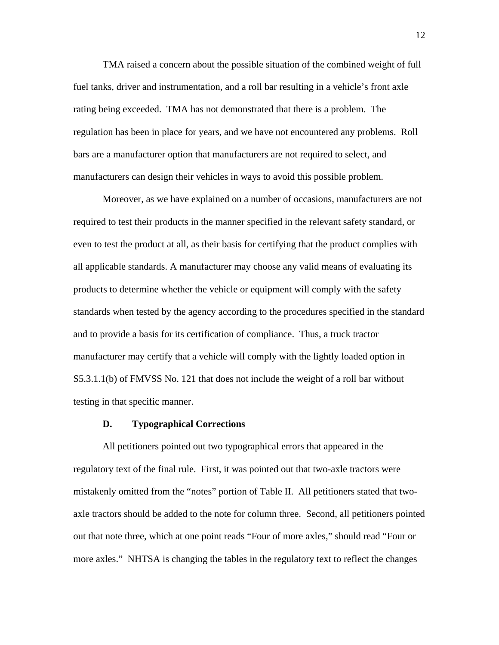TMA raised a concern about the possible situation of the combined weight of full fuel tanks, driver and instrumentation, and a roll bar resulting in a vehicle's front axle rating being exceeded. TMA has not demonstrated that there is a problem. The regulation has been in place for years, and we have not encountered any problems. Roll bars are a manufacturer option that manufacturers are not required to select, and manufacturers can design their vehicles in ways to avoid this possible problem.

Moreover, as we have explained on a number of occasions, manufacturers are not required to test their products in the manner specified in the relevant safety standard, or even to test the product at all, as their basis for certifying that the product complies with all applicable standards. A manufacturer may choose any valid means of evaluating its products to determine whether the vehicle or equipment will comply with the safety standards when tested by the agency according to the procedures specified in the standard and to provide a basis for its certification of compliance. Thus, a truck tractor manufacturer may certify that a vehicle will comply with the lightly loaded option in S5.3.1.1(b) of FMVSS No. 121 that does not include the weight of a roll bar without testing in that specific manner.

## **D. Typographical Corrections**

All petitioners pointed out two typographical errors that appeared in the regulatory text of the final rule. First, it was pointed out that two-axle tractors were mistakenly omitted from the "notes" portion of Table II. All petitioners stated that twoaxle tractors should be added to the note for column three. Second, all petitioners pointed out that note three, which at one point reads "Four of more axles," should read "Four or more axles." NHTSA is changing the tables in the regulatory text to reflect the changes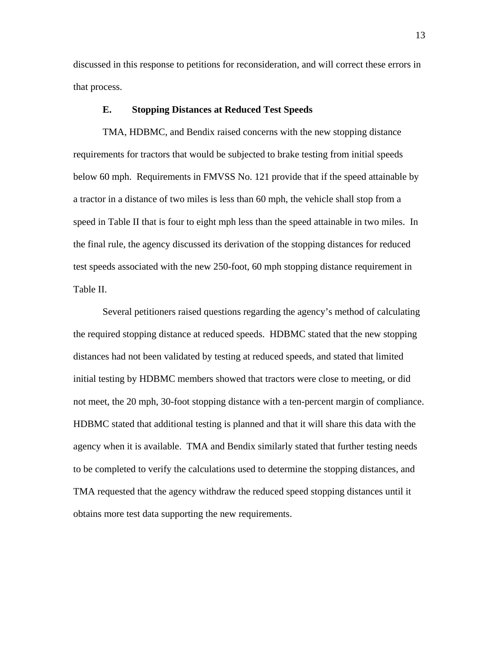discussed in this response to petitions for reconsideration, and will correct these errors in that process.

## **E. Stopping Distances at Reduced Test Speeds**

TMA, HDBMC, and Bendix raised concerns with the new stopping distance requirements for tractors that would be subjected to brake testing from initial speeds below 60 mph. Requirements in FMVSS No. 121 provide that if the speed attainable by a tractor in a distance of two miles is less than 60 mph, the vehicle shall stop from a speed in Table II that is four to eight mph less than the speed attainable in two miles. In the final rule, the agency discussed its derivation of the stopping distances for reduced test speeds associated with the new 250-foot, 60 mph stopping distance requirement in Table II.

Several petitioners raised questions regarding the agency's method of calculating the required stopping distance at reduced speeds. HDBMC stated that the new stopping distances had not been validated by testing at reduced speeds, and stated that limited initial testing by HDBMC members showed that tractors were close to meeting, or did not meet, the 20 mph, 30-foot stopping distance with a ten-percent margin of compliance. HDBMC stated that additional testing is planned and that it will share this data with the agency when it is available. TMA and Bendix similarly stated that further testing needs to be completed to verify the calculations used to determine the stopping distances, and TMA requested that the agency withdraw the reduced speed stopping distances until it obtains more test data supporting the new requirements.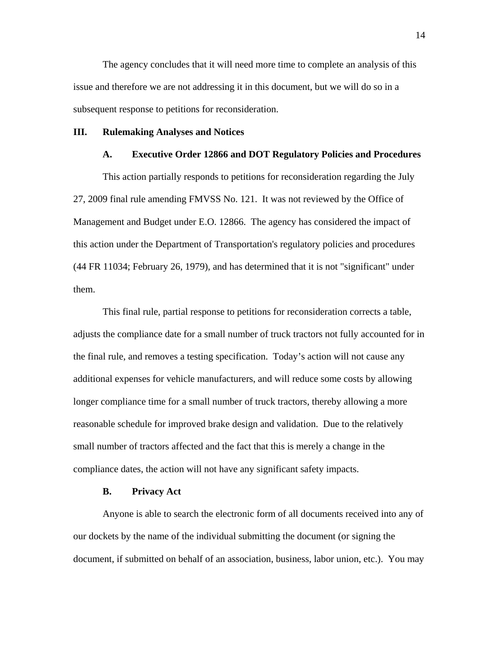The agency concludes that it will need more time to complete an analysis of this issue and therefore we are not addressing it in this document, but we will do so in a subsequent response to petitions for reconsideration.

### **III. Rulemaking Analyses and Notices**

## **A. Executive Order 12866 and DOT Regulatory Policies and Procedures**

This action partially responds to petitions for reconsideration regarding the July 27, 2009 final rule amending FMVSS No. 121. It was not reviewed by the Office of Management and Budget under E.O. 12866. The agency has considered the impact of this action under the Department of Transportation's regulatory policies and procedures (44 FR 11034; February 26, 1979), and has determined that it is not "significant" under them.

This final rule, partial response to petitions for reconsideration corrects a table, adjusts the compliance date for a small number of truck tractors not fully accounted for in the final rule, and removes a testing specification. Today's action will not cause any additional expenses for vehicle manufacturers, and will reduce some costs by allowing longer compliance time for a small number of truck tractors, thereby allowing a more reasonable schedule for improved brake design and validation. Due to the relatively small number of tractors affected and the fact that this is merely a change in the compliance dates, the action will not have any significant safety impacts.

#### **B. Privacy Act**

Anyone is able to search the electronic form of all documents received into any of our dockets by the name of the individual submitting the document (or signing the document, if submitted on behalf of an association, business, labor union, etc.). You may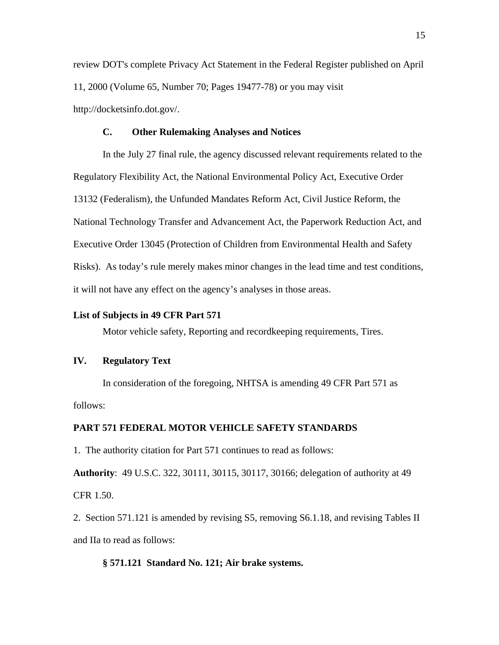review DOT's complete Privacy Act Statement in the Federal Register published on April 11, 2000 (Volume 65, Number 70; Pages 19477-78) or you may visit http://docketsinfo.dot.gov/.

## **C. Other Rulemaking Analyses and Notices**

 In the July 27 final rule, the agency discussed relevant requirements related to the Regulatory Flexibility Act, the National Environmental Policy Act, Executive Order 13132 (Federalism), the Unfunded Mandates Reform Act, Civil Justice Reform, the National Technology Transfer and Advancement Act, the Paperwork Reduction Act, and Executive Order 13045 (Protection of Children from Environmental Health and Safety Risks). As today's rule merely makes minor changes in the lead time and test conditions, it will not have any effect on the agency's analyses in those areas.

## **List of Subjects in 49 CFR Part 571**

Motor vehicle safety, Reporting and recordkeeping requirements, Tires.

# **IV. Regulatory Text**

In consideration of the foregoing, NHTSA is amending 49 CFR Part 571 as follows:

# **PART 571 FEDERAL MOTOR VEHICLE SAFETY STANDARDS**

1. The authority citation for Part 571 continues to read as follows:

**Authority**: 49 U.S.C. 322, 30111, 30115, 30117, 30166; delegation of authority at 49 CFR 1.50.

2. Section 571.121 is amended by revising S5, removing S6.1.18, and revising Tables II and IIa to read as follows:

#### **§ 571.121 Standard No. 121; Air brake systems.**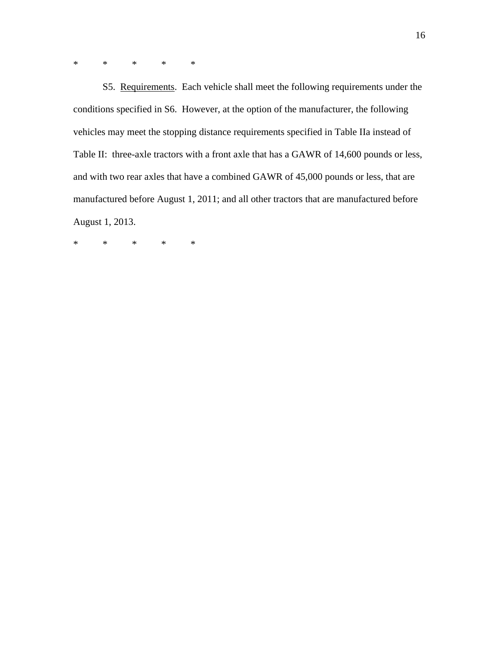\* \* \* \* \*

 S5. Requirements. Each vehicle shall meet the following requirements under the conditions specified in S6. However, at the option of the manufacturer, the following vehicles may meet the stopping distance requirements specified in Table IIa instead of Table II: three-axle tractors with a front axle that has a GAWR of 14,600 pounds or less, and with two rear axles that have a combined GAWR of 45,000 pounds or less, that are manufactured before August 1, 2011; and all other tractors that are manufactured before August 1, 2013.

\* \* \* \* \*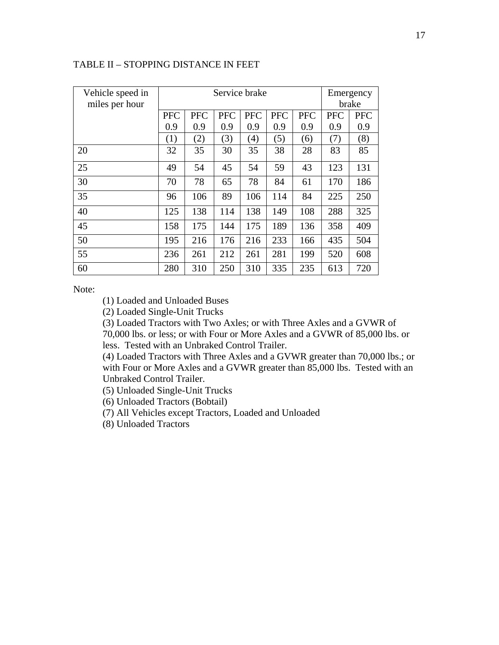| Vehicle speed in<br>miles per hour |            | Service brake | Emergency<br>brake |            |            |            |            |            |
|------------------------------------|------------|---------------|--------------------|------------|------------|------------|------------|------------|
|                                    | <b>PFC</b> | <b>PFC</b>    | <b>PFC</b>         | <b>PFC</b> | <b>PFC</b> | <b>PFC</b> | <b>PFC</b> | <b>PFC</b> |
|                                    | 0.9        | 0.9           | 0.9                | 0.9        | 0.9        | 0.9        | 0.9        | 0.9        |
|                                    | (1)        | (2)           | (3)                | (4)        | (5)        | (6)        | (7)        | (8)        |
| 20                                 | 32         | 35            | 30                 | 35         | 38         | 28         | 83         | 85         |
| 25                                 | 49         | 54            | 45                 | 54         | 59         | 43         | 123        | 131        |
| 30                                 | 70         | 78            | 65                 | 78         | 84         | 61         | 170        | 186        |
| 35                                 | 96         | 106           | 89                 | 106        | 114        | 84         | 225        | 250        |
| 40                                 | 125        | 138           | 114                | 138        | 149        | 108        | 288        | 325        |
| 45                                 | 158        | 175           | 144                | 175        | 189        | 136        | 358        | 409        |
| 50                                 | 195        | 216           | 176                | 216        | 233        | 166        | 435        | 504        |
| 55                                 | 236        | 261           | 212                | 261        | 281        | 199        | 520        | 608        |
| 60                                 | 280        | 310           | 250                | 310        | 335        | 235        | 613        | 720        |

# TABLE II – STOPPING DISTANCE IN FEET

Note:

(1) Loaded and Unloaded Buses

(2) Loaded Single-Unit Trucks

(3) Loaded Tractors with Two Axles; or with Three Axles and a GVWR of

70,000 lbs. or less; or with Four or More Axles and a GVWR of 85,000 lbs. or less. Tested with an Unbraked Control Trailer.

(4) Loaded Tractors with Three Axles and a GVWR greater than 70,000 lbs.; or with Four or More Axles and a GVWR greater than 85,000 lbs. Tested with an Unbraked Control Trailer.

(5) Unloaded Single-Unit Trucks

(6) Unloaded Tractors (Bobtail)

(7) All Vehicles except Tractors, Loaded and Unloaded

(8) Unloaded Tractors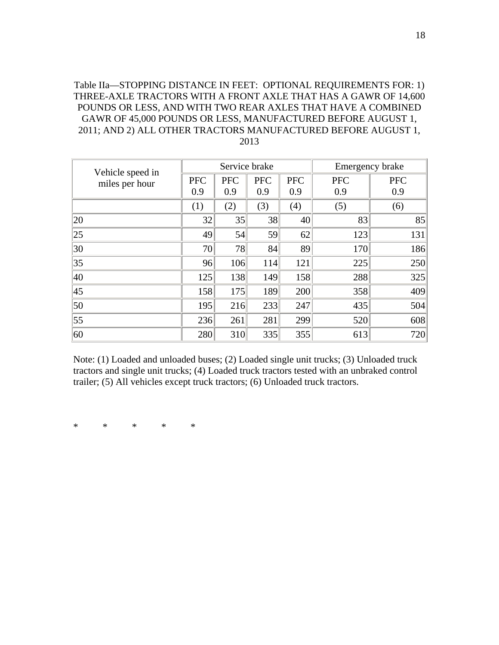Table IIa—STOPPING DISTANCE IN FEET: OPTIONAL REQUIREMENTS FOR: 1) THREE-AXLE TRACTORS WITH A FRONT AXLE THAT HAS A GAWR OF 14,600 POUNDS OR LESS, AND WITH TWO REAR AXLES THAT HAVE A COMBINED GAWR OF 45,000 POUNDS OR LESS, MANUFACTURED BEFORE AUGUST 1, 2011; AND 2) ALL OTHER TRACTORS MANUFACTURED BEFORE AUGUST 1, 2013

| Vehicle speed in<br>miles per hour |            | Service brake |            | Emergency brake |            |            |
|------------------------------------|------------|---------------|------------|-----------------|------------|------------|
|                                    | <b>PFC</b> | <b>PFC</b>    | <b>PFC</b> | <b>PFC</b>      | <b>PFC</b> | <b>PFC</b> |
|                                    | 0.9        | 0.9           | 0.9        | 0.9             | 0.9        | 0.9        |
|                                    | (1)        | (2)           | (3)        | (4)             | (5)        | (6)        |
| $ 20\rangle$                       | 32         | 35            | 38         | 40              | 83         | 85         |
| 25                                 | 49         | 54            | 59         | 62              | 123        | 131        |
| 30                                 | 70         | 78            | 84         | 89              | 170        | 186        |
| 35                                 | 96         | 106           | 114        | 121             | 225        | 250        |
| 40                                 | 125        | 138           | 149        | 158             | 288        | 325        |
| 45                                 | 158        | 175           | 189        | 200             | 358        | 409        |
| 50                                 | 195        | 216           | 233        | 247             | 435        | 504        |
| $\vert$ 55                         | 236        | 261           | 281        | 299             | 520        | 608        |
| 60                                 | 280        | 310           | 335        | 355             | 613        | 720        |

Note: (1) Loaded and unloaded buses; (2) Loaded single unit trucks; (3) Unloaded truck tractors and single unit trucks; (4) Loaded truck tractors tested with an unbraked control trailer; (5) All vehicles except truck tractors; (6) Unloaded truck tractors.

\* \* \* \* \*